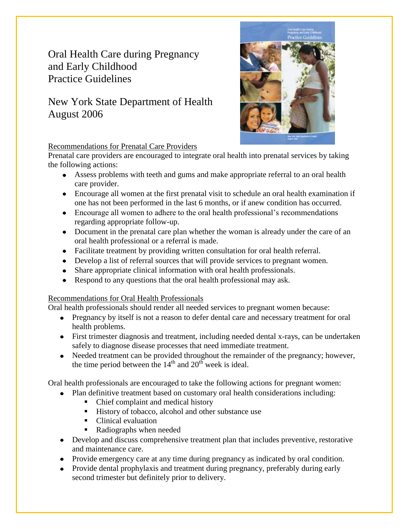## Oral Health Care during Pregnancy and Early Childhood Practice Guidelines

## New York State Department of Health August 2006



#### Recommendations for Prenatal Care Providers

Prenatal care providers are encouraged to integrate oral health into prenatal services by taking the following actions:

- Assess problems with teeth and gums and make appropriate referral to an oral health care provider.
- Encourage all women at the first prenatal visit to schedule an oral health examination if one has not been performed in the last 6 months, or if anew condition has occurred.
- $\bullet$ Encourage all women to adhere to the oral health professional's recommendations regarding appropriate follow-up.
- Document in the prenatal care plan whether the woman is already under the care of an oral health professional or a referral is made.
- Facilitate treatment by providing written consultation for oral health referral.
- Develop a list of referral sources that will provide services to pregnant women.
- Share appropriate clinical information with oral health professionals.  $\bullet$
- Respond to any questions that the oral health professional may ask.  $\bullet$

### Recommendations for Oral Health Professionals

Oral health professionals should render all needed services to pregnant women because:

- Pregnancy by itself is not a reason to defer dental care and necessary treatment for oral health problems.
- First trimester diagnosis and treatment, including needed dental x-rays, can be undertaken safely to diagnose disease processes that need immediate treatment.
- Needed treatment can be provided throughout the remainder of the pregnancy; however, the time period between the  $14<sup>th</sup>$  and  $20<sup>th</sup>$  week is ideal.

Oral health professionals are encouraged to take the following actions for pregnant women:

- Plan definitive treatment based on customary oral health considerations including:
	- Chief complaint and medical history
	- History of tobacco, alcohol and other substance use
	- Clinical evaluation
	- Radiographs when needed
- Develop and discuss comprehensive treatment plan that includes preventive, restorative and maintenance care.
- Provide emergency care at any time during pregnancy as indicated by oral condition.
- Provide dental prophylaxis and treatment during pregnancy, preferably during early second trimester but definitely prior to delivery.